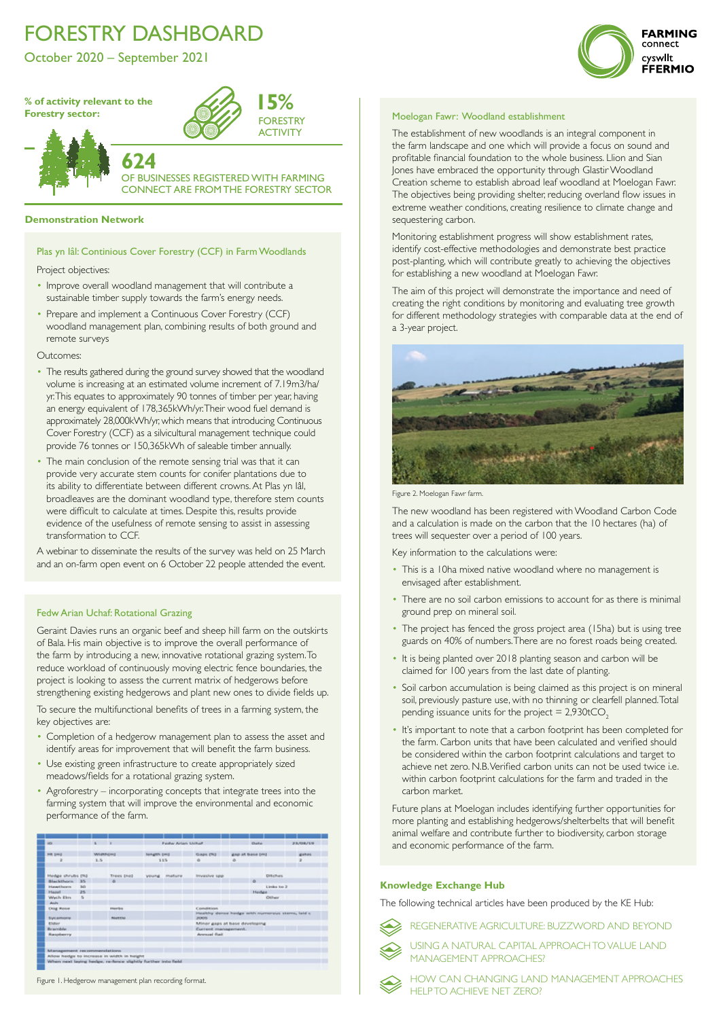# FORESTRY DASHBOARD

October 2020 – September 2021



# **[Demonstration Network](https://businesswales.gov.wales/farmingconnect/our-farms/projects-list)**

Project objectives:

- Improve overall woodland management that will contribute a sustainable timber supply towards the farm's energy needs.
- Prepare and implement a Continuous Cover Forestry (CCF) woodland management plan, combining results of both ground and remote surveys

## Outcomes:

**624** OF BUSINESSES REGISTERED WITH FARMING **NECT ARE FROM THE FORESTRY SECTOR** 

- The results gathered during the ground survey showed that the woodland volume is increasing at an estimated volume increment of 7.19m3/ha/ yr. This equates to approximately 90 tonnes of timber per year, having an energy equivalent of 178,365kWh/yr. Their wood fuel demand is approximately 28,000kWh/yr, which means that introducing Continuous Cover Forestry (CCF) as a silvicultural management technique could provide 76 tonnes or 150,365kWh of saleable timber annually.
- The main conclusion of the remote sensing trial was that it can provide very accurate stem counts for conifer plantations due to its ability to differentiate between different crowns. At Plas yn Iâl, broadleaves are the dominant woodland type, therefore stem counts were difficult to calculate at times. Despite this, results provide evidence of the usefulness of remote sensing to assist in assessing transformation to CCF.

A webinar to disseminate the results of the survey was held on 25 March and an on-farm open event on 6 October 22 people attended the event.

[Plas yn Iâl: Continious Cover Forestry \(CCF\) in Farm Woodlands](https://businesswales.gov.wales/farmingconnect/our-farms/projects-list)

**% of activity relevant to the Forestry sector:**



The establishment of new woodlands is an integral component in the farm landscape and one which will provide a focus on sound and profitable financial foundation to the whole business. Llion and Sian Jones have embraced the opportunity through Glastir Woodland Creation scheme to establish abroad leaf woodland at Moelogan Fawr. The objectives being providing shelter, reducing overland flow issues in extreme weather conditions, creating resilience to climate change and sequestering carbon.

- This is a 10ha mixed native woodland where no management is envisaged after establishment.
- There are no soil carbon emissions to account for as there is minimal ground prep on mineral soil.
- The project has fenced the gross project area (15ha) but is using tree guards on 40% of numbers. There are no forest roads being created.
- It is being planted over 2018 planting season and carbon will be claimed for 100 years from the last date of planting.
- Soil carbon accumulation is being claimed as this project is on mineral soil, previously pasture use, with no thinning or clearfell planned. Total pending issuance units for the project  $= 2,930tCO<sub>2</sub>$
- It's important to note that a carbon footprint has been completed for the farm. Carbon units that have been calculated and verified should be considered within the carbon footprint calculations and target to achieve net zero. N.B. Verified carbon units can not be used twice i.e. within carbon footprint calculations for the farm and traded in the carbon market.

Monitoring establishment progress will show establishment rates, identify cost-effective methodologies and demonstrate best practice post-planting, which will contribute greatly to achieving the objectives for establishing a new woodland at Moelogan Fawr.

The aim of this project will demonstrate the importance and need of creating the right conditions by monitoring and evaluating tree growth for different methodology strategies with comparable data at the end of a 3-year project.



The new woodland has been registered with Woodland Carbon Code and a calculation is made on the carbon that the 10 hectares (ha) of trees will sequester over a period of 100 years.

Key information to the calculations were:

Future plans at Moelogan includes identifying further opportunities for more planting and establishing hedgerows/shelterbelts that will benefit animal welfare and contribute further to biodiversity, carbon storage and economic performance of the farm.

## Moelogan Fawr: Woodland establishment

Figure 2. Moelogan Fawr farm.

The following technical articles have been produced by the KE Hub:



# **Knowledge Exchange Hub**

[REGENERATIVE AGRICULTURE: BUZZWORD AND BEYOND](https://businesswales.gov.wales/farmingconnect/news-and-events/technical-articles/regenerative-agriculture-buzzword-and-beyond)



[USING A NATURAL CAPITAL APPROACH TO VALUE LAND](https://businesswales.gov.wales/farmingconnect/news-and-events/technical-articles/using-natural-capital-approach-value-land-management-approaches)  [MANAGEMENT APPROACHES?](https://businesswales.gov.wales/farmingconnect/news-and-events/technical-articles/using-natural-capital-approach-value-land-management-approaches)



[HOW CAN CHANGING LAND MANAGEMENT APPROACHES](https://businesswales.gov.wales/farmingconnect/news-and-events/technical-articles/how-can-changing-land-management-approaches-help-achieve-net-zero)  [HELP TO ACHIEVE NET ZERO?](https://businesswales.gov.wales/farmingconnect/news-and-events/technical-articles/how-can-changing-land-management-approaches-help-achieve-net-zero)

Geraint Davies runs an organic beef and sheep hill farm on the outskirts of Bala. His main objective is to improve the overall performance of the farm by introducing a new, innovative rotational grazing system. To reduce workload of continuously moving electric fence boundaries, the project is looking to assess the current matrix of hedgerows before strengthening existing hedgerows and plant new ones to divide fields up.

To secure the multifunctional benefits of trees in a farming system, the key objectives are:

- Completion of a hedgerow management plan to assess the asset and identify areas for improvement that will benefit the farm business.
- Use existing green infrastructure to create appropriately sized

meadows/fields for a rotational grazing system.

• Agroforestry – incorporating concepts that integrate trees into the farming system that will improve the environmental and economic performance of the farm.

| iD.                            |          |     |                                             |                    | Fieldsy Artists Livinar                                 |                               | <b>DUAL</b> |                 |                  | 33/08/15     |  |
|--------------------------------|----------|-----|---------------------------------------------|--------------------|---------------------------------------------------------|-------------------------------|-------------|-----------------|------------------|--------------|--|
| HE (HH)                        | WARFAIRE |     |                                             | <b>NHAMPH DWLE</b> |                                                         | Glaps (NJ                     |             | gap at base pro |                  | <b>BARDS</b> |  |
| ×                              |          | 1.5 |                                             |                    | 115                                                     | ×.                            | ö.          |                 |                  |              |  |
| Hedge shrubs (%)               |          |     | Trees (ne)                                  | young mature       |                                                         | Invasive spp                  |             |                 | <b>DVI:Fuiri</b> |              |  |
| Blackthorn 35                  |          |     | $\alpha$                                    |                    |                                                         |                               |             |                 |                  |              |  |
| <b>Interest Persons</b>        | 30       |     |                                             |                    |                                                         |                               |             |                 | Limited for 2    |              |  |
| <b>Plazar</b>                  | 25       |     |                                             |                    |                                                         |                               |             | Hedes           |                  |              |  |
| Wech Elm                       | - 5      |     |                                             |                    |                                                         |                               |             |                 | Other            |              |  |
| shoules.                       |          |     |                                             |                    |                                                         |                               |             |                 |                  |              |  |
| <b>Dog Rose</b>                |          |     | <b>Interfere</b>                            |                    |                                                         | <b>Constitution</b>           |             |                 |                  |              |  |
| SIVE APPAGING<br><b>Nuttio</b> |          |     |                                             |                    | Healthy dense hedge with numerous stems, laid s<br>2005 |                               |             |                 |                  |              |  |
| <b>Elishavi</b>                |          |     |                                             |                    |                                                         | Minor gaps at base developing |             |                 |                  |              |  |
| Briandale.                     |          |     |                                             |                    | Current management.                                     |                               |             |                 |                  |              |  |
| <b><i>Hasoleery</i></b>        |          |     |                                             |                    |                                                         | Amressal Badi                 |             |                 |                  |              |  |
| Management recommendations     |          |     |                                             |                    |                                                         |                               |             |                 |                  |              |  |
|                                |          |     | Allow hedge to increase in width in height. |                    |                                                         |                               |             |                 |                  |              |  |

# Fedw Arian Uchaf: Rotational Grazing

Figure 1. Hedgerow management plan recording format.